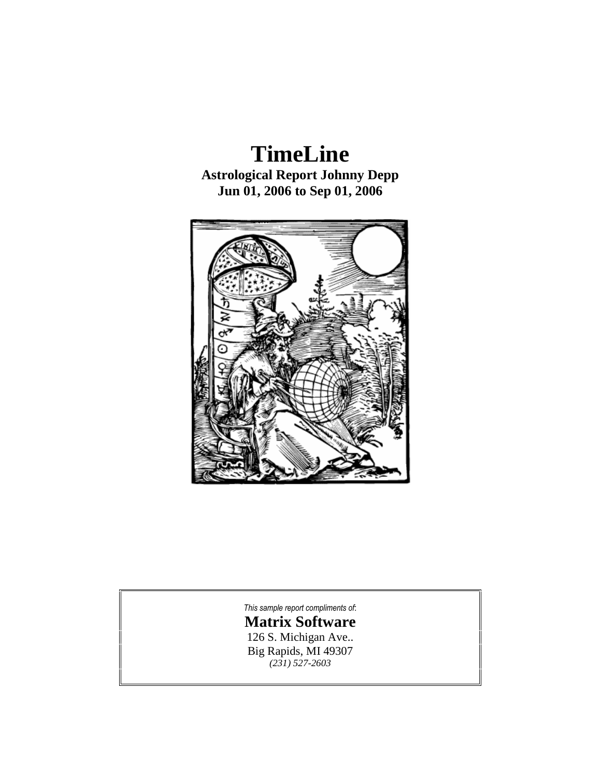# **TimeLine**

**Astrological Report Johnny Depp Jun 01, 2006 to Sep 01, 2006**



*This sample report compliments of*: **Matrix Software** 126 S. Michigan Ave.. Big Rapids, MI 49307 *(231) 527-2603*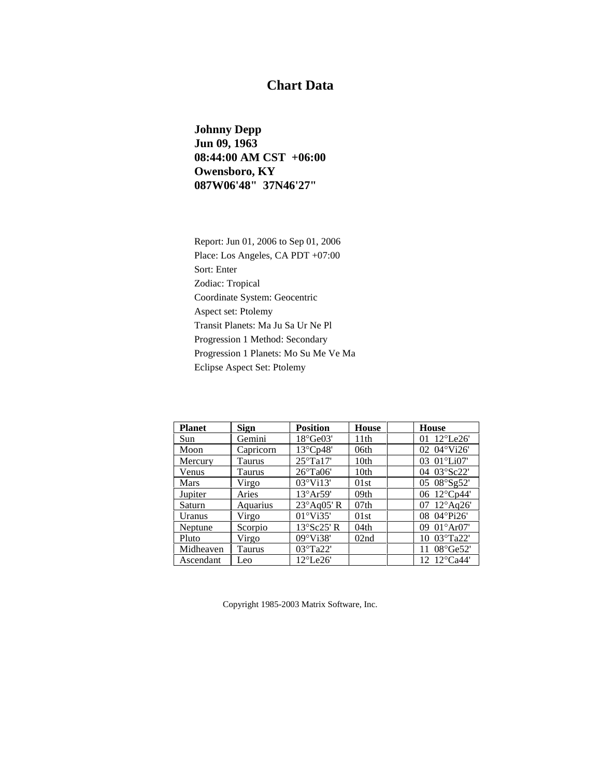#### **Chart Data**

**Johnny Depp Jun 09, 1963 08:44:00 AM CST +06:00 Owensboro, KY 087W06'48" 37N46'27"**

Report: Jun 01, 2006 to Sep 01, 2006 Place: Los Angeles, CA PDT +07:00 Sort: Enter Zodiac: Tropical Coordinate System: Geocentric Aspect set: Ptolemy Transit Planets: Ma Ju Sa Ur Ne Pl Progression 1 Method: Secondary Progression 1 Planets: Mo Su Me Ve Ma Eclipse Aspect Set: Ptolemy

| <b>Planet</b> | <b>Sign</b> | <b>Position</b>         | <b>House</b>     | House                    |
|---------------|-------------|-------------------------|------------------|--------------------------|
| <b>Sun</b>    | Gemini      | $18^{\circ}$ Ge $03'$   | 11th             | 01 $12^{\circ}$ Le26'    |
| Moon          | Capricorn   | $13^{\circ}$ Cp48'      | 06th             | 02 04°Vi26'              |
| Mercury       | Taurus      | $25^{\circ}$ Ta17'      | 10th             | 03 01°Li07'              |
| Venus         | Taurus      | $26^{\circ}$ Ta06'      | 10th             | 04 03°Sc22'              |
| Mars          | Virgo       | 03°Vi13'                | 01st             | 05 08°Sg52'              |
| Jupiter       | Aries       | $13^{\circ}Ar59'$       | 09th             | 06 12°Cp44'              |
| Saturn        | Aquarius    | $23^{\circ}$ Aq05' R    | 07 <sub>th</sub> | 07 12°Aq26'              |
| <b>Uranus</b> | Virgo       | $01^{\circ}$ Vi35'      | 01st             | 08 04°Pi26'              |
| Neptune       | Scorpio     | $13^{\circ}$ Sc $25'$ R | 04th             | $01^{\circ}$ Ar07'<br>09 |
| Pluto         | Virgo       | 09°Vi38'                | 02nd             | $1003^{\circ}$ Ta22'     |
| Midheaven     | Taurus      | $03^{\circ}$ Ta22'      |                  | $08^{\circ}$ Ge52'       |
| Ascendant     | Leo         | $12^{\circ}$ Le $26'$   |                  | 12 12°Ca44'              |

Copyright 1985-2003 Matrix Software, Inc.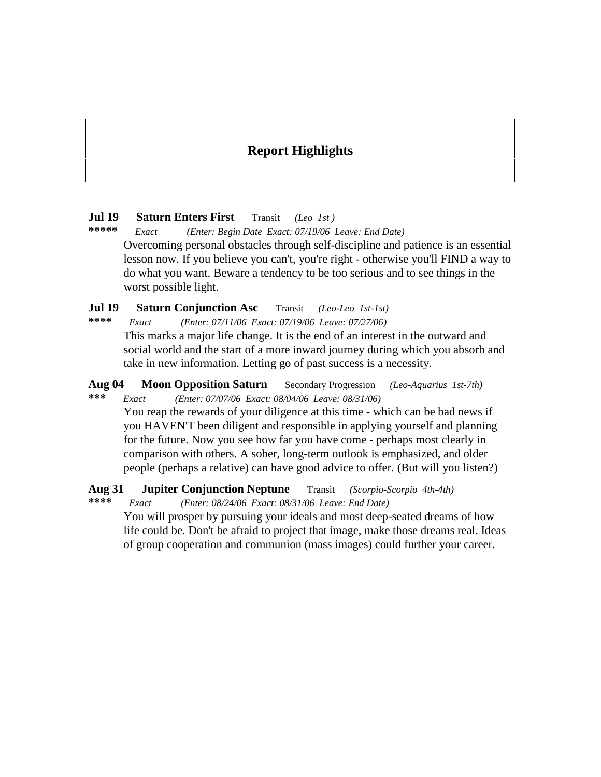#### **Report Highlights**

# **Jul 19 Saturn Enters First** Transit *(Leo 1st )*

**\*\*\*\*\*** *Exact (Enter: Begin Date Exact: 07/19/06 Leave: End Date)* Overcoming personal obstacles through self-discipline and patience is an essential lesson now. If you believe you can't, you're right - otherwise you'll FIND a way to do what you want. Beware a tendency to be too serious and to see things in the worst possible light.

**Jul 19 Saturn Conjunction Asc** Transit *(Leo-Leo 1st-1st)*

**\*\*\*\*** *Exact (Enter: 07/11/06 Exact: 07/19/06 Leave: 07/27/06)* This marks a major life change. It is the end of an interest in the outward and social world and the start of a more inward journey during which you absorb and take in new information. Letting go of past success is a necessity.

**Aug 04 Moon Opposition Saturn** Secondary Progression *(Leo-Aquarius 1st-7th)* **\*\*\*** *Exact (Enter: 07/07/06 Exact: 08/04/06 Leave: 08/31/06)*

You reap the rewards of your diligence at this time - which can be bad news if you HAVEN'T been diligent and responsible in applying yourself and planning for the future. Now you see how far you have come - perhaps most clearly in comparison with others. A sober, long-term outlook is emphasized, and older people (perhaps a relative) can have good advice to offer. (But will you listen?)

### **Aug 31 Jupiter Conjunction Neptune** Transit *(Scorpio-Scorpio 4th-4th)*

**\*\*\*\*** *Exact (Enter: 08/24/06 Exact: 08/31/06 Leave: End Date)* You will prosper by pursuing your ideals and most deep-seated dreams of how life could be. Don't be afraid to project that image, make those dreams real. Ideas of group cooperation and communion (mass images) could further your career.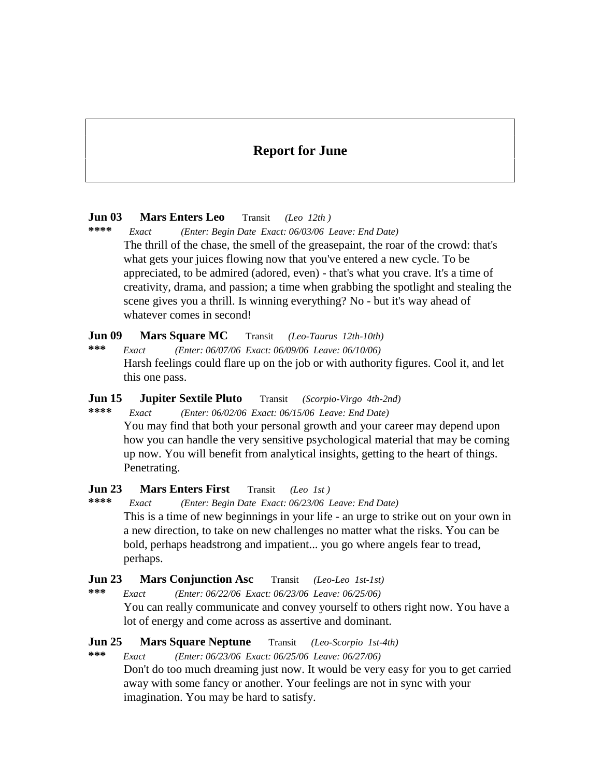#### **Report for June**

#### **Jun 03 Mars Enters Leo** Transit *(Leo 12th )*

**\*\*\*\*** *Exact (Enter: Begin Date Exact: 06/03/06 Leave: End Date)* The thrill of the chase, the smell of the greasepaint, the roar of the crowd: that's what gets your juices flowing now that you've entered a new cycle. To be appreciated, to be admired (adored, even) - that's what you crave. It's a time of creativity, drama, and passion; a time when grabbing the spotlight and stealing the scene gives you a thrill. Is winning everything? No - but it's way ahead of whatever comes in second!

**Jun 09 Mars Square MC** Transit *(Leo-Taurus 12th-10th)*

**\*\*\*** *Exact (Enter: 06/07/06 Exact: 06/09/06 Leave: 06/10/06)* Harsh feelings could flare up on the job or with authority figures. Cool it, and let this one pass.

### **Jun 15 Jupiter Sextile Pluto** Transit *(Scorpio-Virgo 4th-2nd)*

**\*\*\*\*** *Exact (Enter: 06/02/06 Exact: 06/15/06 Leave: End Date)* You may find that both your personal growth and your career may depend upon how you can handle the very sensitive psychological material that may be coming up now. You will benefit from analytical insights, getting to the heart of things. Penetrating.

### **Jun 23 Mars Enters First** Transit *(Leo 1st )*

**\*\*\*\*** *Exact (Enter: Begin Date Exact: 06/23/06 Leave: End Date)* This is a time of new beginnings in your life - an urge to strike out on your own in a new direction, to take on new challenges no matter what the risks. You can be bold, perhaps headstrong and impatient... you go where angels fear to tread, perhaps.

#### **Jun 23 Mars Conjunction Asc** Transit *(Leo-Leo 1st-1st)*

**\*\*\*** *Exact (Enter: 06/22/06 Exact: 06/23/06 Leave: 06/25/06)* You can really communicate and convey yourself to others right now. You have a lot of energy and come across as assertive and dominant.

### **Jun 25 Mars Square Neptune** Transit *(Leo-Scorpio 1st-4th)*

**\*\*\*** *Exact (Enter: 06/23/06 Exact: 06/25/06 Leave: 06/27/06)*

Don't do too much dreaming just now. It would be very easy for you to get carried away with some fancy or another. Your feelings are not in sync with your imagination. You may be hard to satisfy.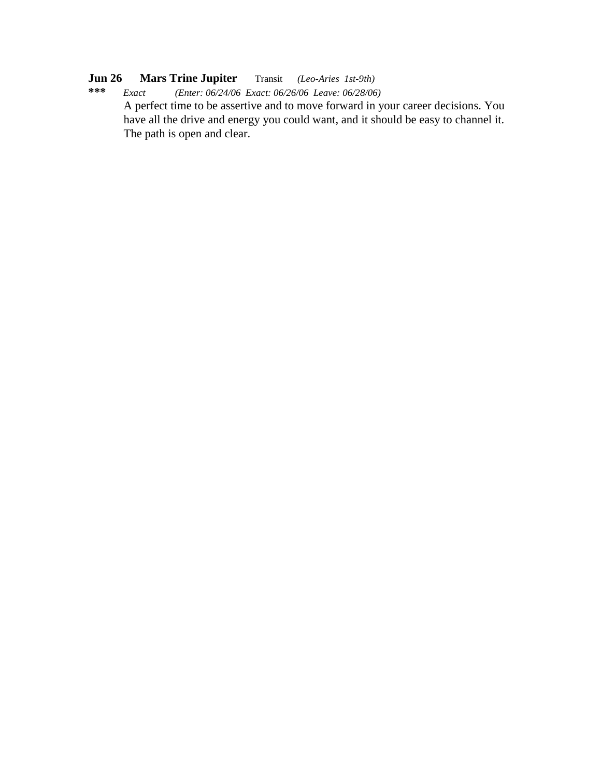# **Jun 26 Mars Trine Jupiter** Transit *(Leo-Aries 1st-9th)*

**\*\*\*** *Exact (Enter: 06/24/06 Exact: 06/26/06 Leave: 06/28/06)* A perfect time to be assertive and to move forward in your career decisions. You have all the drive and energy you could want, and it should be easy to channel it. The path is open and clear.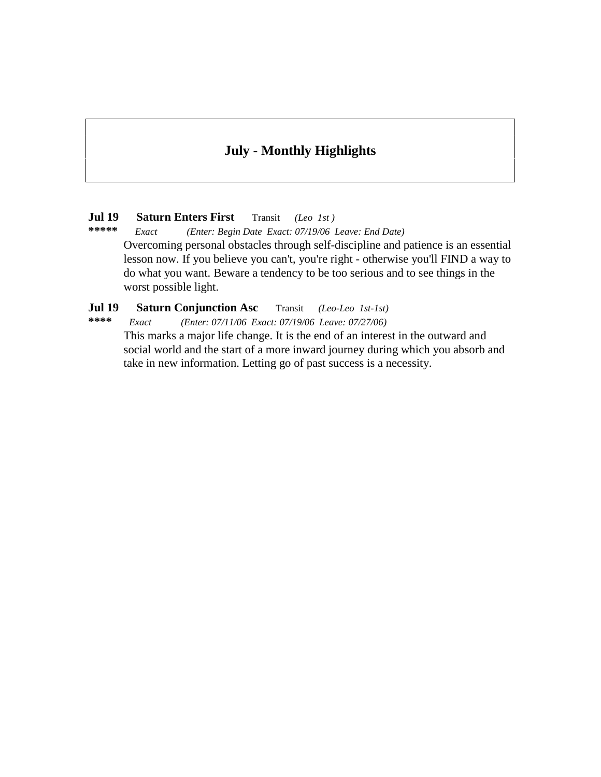#### **July - Monthly Highlights**

# **Jul 19 Saturn Enters First** Transit *(Leo 1st )*

**\*\*\*\*\*** *Exact (Enter: Begin Date Exact: 07/19/06 Leave: End Date)* Overcoming personal obstacles through self-discipline and patience is an essential lesson now. If you believe you can't, you're right - otherwise you'll FIND a way to do what you want. Beware a tendency to be too serious and to see things in the worst possible light.

# **Jul 19 Saturn Conjunction Asc** Transit *(Leo-Leo 1st-1st)*

**\*\*\*\*** *Exact (Enter: 07/11/06 Exact: 07/19/06 Leave: 07/27/06)* This marks a major life change. It is the end of an interest in the outward and social world and the start of a more inward journey during which you absorb and take in new information. Letting go of past success is a necessity.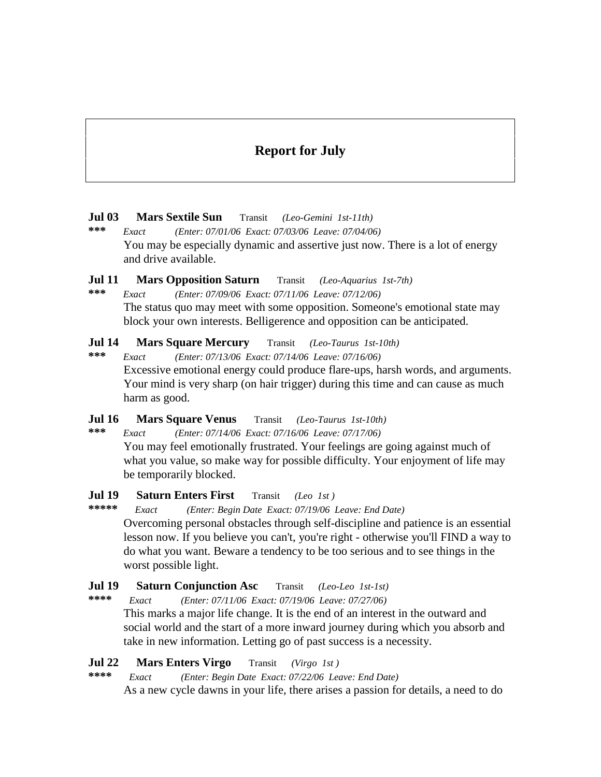#### **Report for July**

#### **Jul 03 Mars Sextile Sun** Transit *(Leo-Gemini 1st-11th)*

**\*\*\*** *Exact (Enter: 07/01/06 Exact: 07/03/06 Leave: 07/04/06)* You may be especially dynamic and assertive just now. There is a lot of energy and drive available.

### **Jul 11 Mars Opposition Saturn** Transit *(Leo-Aquarius 1st-7th)*

**\*\*\*** *Exact (Enter: 07/09/06 Exact: 07/11/06 Leave: 07/12/06)* The status quo may meet with some opposition. Someone's emotional state may block your own interests. Belligerence and opposition can be anticipated.

#### **Jul 14 Mars Square Mercury** Transit *(Leo-Taurus 1st-10th)*

**\*\*\*** *Exact (Enter: 07/13/06 Exact: 07/14/06 Leave: 07/16/06)* Excessive emotional energy could produce flare-ups, harsh words, and arguments. Your mind is very sharp (on hair trigger) during this time and can cause as much harm as good.

### **Jul 16 Mars Square Venus** Transit *(Leo-Taurus 1st-10th)*

**\*\*\*** *Exact (Enter: 07/14/06 Exact: 07/16/06 Leave: 07/17/06)* You may feel emotionally frustrated. Your feelings are going against much of what you value, so make way for possible difficulty. Your enjoyment of life may be temporarily blocked.

### **Jul 19 Saturn Enters First** Transit *(Leo 1st )*

**\*\*\*\*\*** *Exact (Enter: Begin Date Exact: 07/19/06 Leave: End Date)* Overcoming personal obstacles through self-discipline and patience is an essential lesson now. If you believe you can't, you're right - otherwise you'll FIND a way to do what you want. Beware a tendency to be too serious and to see things in the worst possible light.

### **Jul 19 Saturn Conjunction Asc** Transit *(Leo-Leo 1st-1st)*

**\*\*\*\*** *Exact (Enter: 07/11/06 Exact: 07/19/06 Leave: 07/27/06)*

This marks a major life change. It is the end of an interest in the outward and social world and the start of a more inward journey during which you absorb and take in new information. Letting go of past success is a necessity.

### **Jul 22 Mars Enters Virgo** Transit *(Virgo 1st)*

**\*\*\*\*** *Exact (Enter: Begin Date Exact: 07/22/06 Leave: End Date)* As a new cycle dawns in your life, there arises a passion for details, a need to do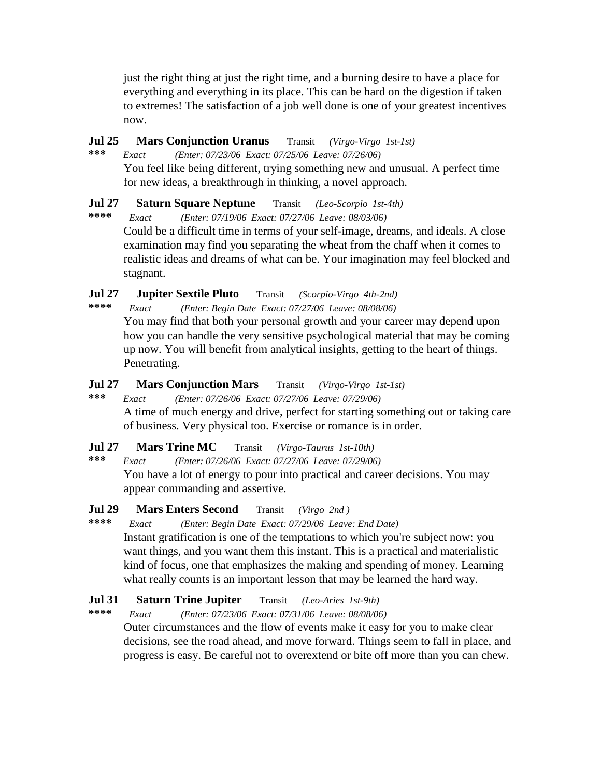just the right thing at just the right time, and a burning desire to have a place for everything and everything in its place. This can be hard on the digestion if taken to extremes! The satisfaction of a job well done is one of your greatest incentives now.

#### **Jul 25 Mars Conjunction Uranus** Transit *(Virgo-Virgo 1st-1st)*

**\*\*\*** *Exact (Enter: 07/23/06 Exact: 07/25/06 Leave: 07/26/06)* You feel like being different, trying something new andunusual. A perfect time for new ideas, a breakthrough in thinking, a novel approach.

#### **Jul 27 Saturn Square Neptune** Transit *(Leo-Scorpio 1st-4th)*

**\*\*\*\*** *Exact (Enter: 07/19/06 Exact: 07/27/06 Leave: 08/03/06)* Could be a difficult time in terms of your self-image, dreams, and ideals. A close examination may find you separating the wheat from the chaff when it comes to realistic ideas and dreams of what can be. Your imagination may feel blocked and stagnant.

#### **Jul 27 Jupiter Sextile Pluto** Transit *(Scorpio-Virgo 4th-2nd)*

**\*\*\*\*** *Exact (Enter: Begin Date Exact: 07/27/06 Leave: 08/08/06)* You may find that both your personal growth and your career may depend upon how you can handle the very sensitive psychological material that may be coming up now. You will benefit from analytical insights, getting to the heart of things. Penetrating.

#### **Jul 27 Mars Conjunction Mars** Transit *(Virgo-Virgo 1st-1st)*

**\*\*\*** *Exact (Enter: 07/26/06 Exact: 07/27/06 Leave: 07/29/06)* A timeof much energy and drive, perfect for starting something out or taking care of business. Very physical too. Exercise or romance is in order.

#### **Jul 27 Mars Trine MC** Transit *(Virgo-Taurus 1st-10th)*

**\*\*\*** *Exact (Enter: 07/26/06 Exact: 07/27/06 Leave: 07/29/06)* You have a lot of energy to pour into practical and career decisions. You may appear commanding and assertive.

#### **Jul 29 Mars Enters Second** Transit *(Virgo 2nd )*

**\*\*\*\*** *Exact (Enter: Begin Date Exact: 07/29/06 Leave: End Date)*

Instant gratification is one of the temptations to which you're subject now: you want things, and you want them this instant. This is a practical and materialistic kind of focus, one that emphasizes the making and spending of money. Learning what really counts is an important lesson that may be learned the hard way.

#### **Jul 31 Saturn Trine Jupiter** Transit *(Leo-Aries 1st-9th)*

**\*\*\*\*** *Exact (Enter: 07/23/06 Exact: 07/31/06 Leave: 08/08/06)* Outer circumstances and the flow of events make it easy for you to make clear decisions, see the road ahead, and move forward. Things seem to fall in place, and progress is easy. Be careful not to overextend or bite off more than you can chew.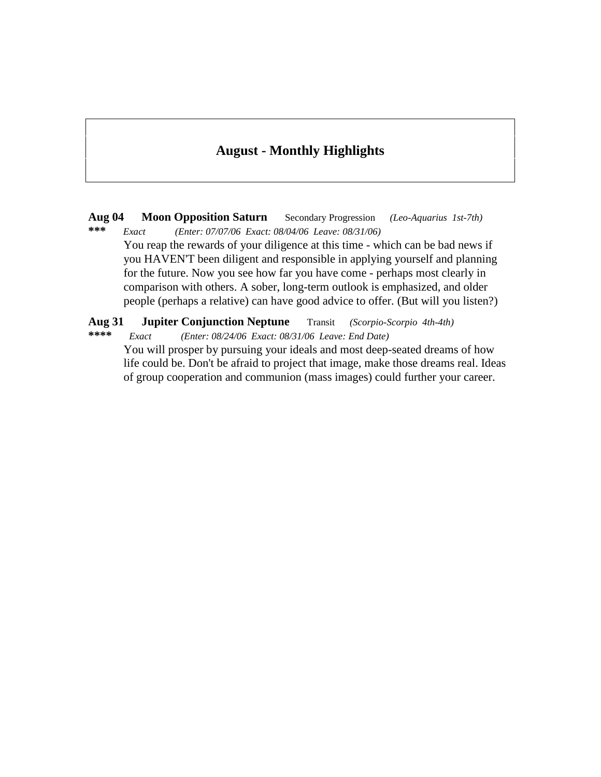#### **August - Monthly Highlights**

- **Aug 04 Moon Opposition Saturn** Secondary Progression *(Leo-Aquarius 1st-7th)* **\*\*\*** *Exact (Enter: 07/07/06 Exact: 08/04/06 Leave: 08/31/06)* You reap the rewards of your diligence at this time - which can be bad news if you HAVEN'T been diligent and responsible in applying yourself and planning for the future. Now you see how far you have come - perhaps most clearly in comparison with others. A sober, long-term outlook is emphasized, and older people (perhaps a relative) can have good advice to offer. (But will you listen?)
- **Aug 31 Jupiter Conjunction Neptune** Transit *(Scorpio-Scorpio 4th-4th)* **\*\*\*\*** *Exact (Enter: 08/24/06 Exact: 08/31/06 Leave: End Date)*
	- You will prosper by pursuing your ideals and most deep-seated dreams of how life could be. Don't be afraid to project that image, make those dreams real. Ideas of group cooperation and communion (mass images) could further your career.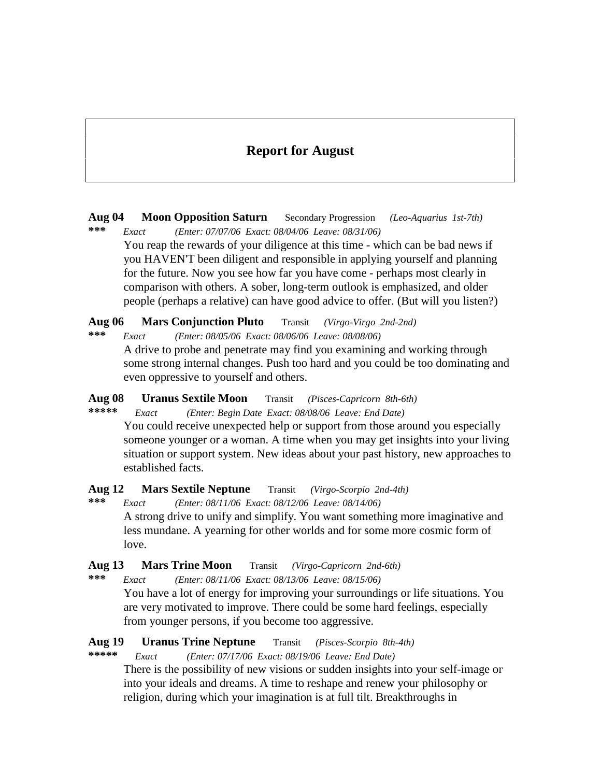#### **Report for August**

**Aug 04 Moon Opposition Saturn** Secondary Progression *(Leo-Aquarius 1st-7th)* **\*\*\*** *Exact (Enter: 07/07/06 Exact: 08/04/06 Leave: 08/31/06)*

You reap the rewards of your diligence at this time - which can be bad news if you HAVEN'T been diligent and responsible in applying yourself and planning for the future. Now you see how far you have come - perhaps most clearly in comparison with others. A sober, long-term outlook is emphasized, and older people (perhaps a relative) can have good advice to offer. (But will you listen?)

# **Aug 06 Mars Conjunction Pluto** Transit *(Virgo-Virgo 2nd-2nd)*

**\*\*\*** *Exact (Enter: 08/05/06 Exact: 08/06/06 Leave: 08/08/06)* A drive to probe and penetrate may find you examining and working through some strong internal changes. Push too hard and you could be too dominating and even oppressive to yourself and others.

### **Aug 08 Uranus Sextile Moon** Transit *(Pisces-Capricorn 8th-6th)*

**\*\*\*\*\*** *Exact (Enter: Begin Date Exact: 08/08/06 Leave: End Date)* You could receive unexpected help or support from those around you especially someone younger or a woman. A timewhen you may get insights into your living situation or support system. New ideas about your past history, new approaches to established facts.

### **Aug 12 Mars Sextile Neptune** Transit *(Virgo-Scorpio 2nd-4th)*

**\*\*\*** *Exact (Enter: 08/11/06 Exact: 08/12/06 Leave: 08/14/06)* A strong drive to unify and simplify. You want something more imaginative and less mundane. A yearning for other worlds and for some more cosmic form of love.

### **Aug 13 Mars Trine Moon** Transit *(Virgo-Capricorn 2nd-6th)*

**\*\*\*** *Exact (Enter: 08/11/06 Exact: 08/13/06 Leave: 08/15/06)* You have a lot of energy for improving your surroundings or life situations. You are very motivated to improve. There could be some hard feelings, especially from younger persons, if you become too aggressive.

### **Aug 19 Uranus Trine Neptune** Transit *(Pisces-Scorpio 8th-4th)*

**\*\*\*\*\*** *Exact (Enter: 07/17/06 Exact: 08/19/06 Leave: End Date)*

There is the possibility of new visions or sudden insights into your self-image or into your ideals and dreams. A time to reshape and renew your philosophy or religion, during which your imagination is at full tilt. Breakthroughs in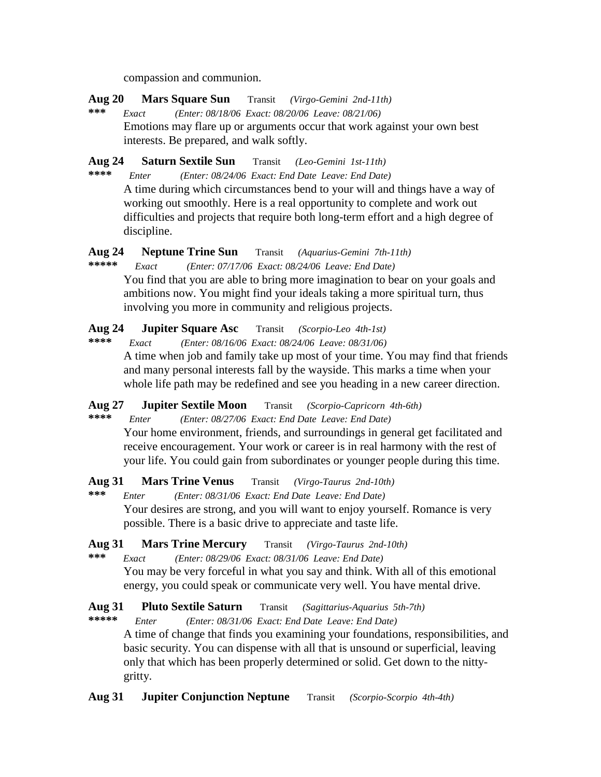compassion and communion.

- **Aug 20 Mars Square Sun** Transit *(Virgo-Gemini 2nd-11th)*
- **\*\*\*** *Exact (Enter: 08/18/06 Exact: 08/20/06 Leave: 08/21/06)* Emotions may flare up or arguments occur that work against your own best interests. Be prepared, and walk softly.

**Aug 24 Saturn Sextile Sun** Transit *(Leo-Gemini 1st-11th)*

**\*\*\*\*** *Enter (Enter: 08/24/06 Exact: End Date Leave: End Date)* A time during which circumstances bend to your will and things have a way of working out smoothly. Here is a real opportunity to complete and work out difficulties and projects that require both long-term effort and a high degree of discipline.

# **Aug 24 Neptune Trine Sun** Transit *(Aquarius-Gemini 7th-11th)*

**\*\*\*\*\*** *Exact (Enter: 07/17/06 Exact: 08/24/06 Leave: End Date)*

You find that you are able to bring more imagination to bear on your goals and ambitions now. You might find your ideals taking a more spiritual turn, thus involving you more in community and religious projects.

# **Aug 24 Jupiter Square Asc** Transit *(Scorpio-Leo 4th-1st)*

**\*\*\*\*** *Exact (Enter: 08/16/06 Exact: 08/24/06 Leave: 08/31/06)*

A timewhen job and family take up most of your time. You may find that friends and many personal interests fall by the wayside. This marks a time when your whole life path may be redefined and see you heading in a new career direction.

# **Aug 27 Jupiter Sextile Moon** Transit *(Scorpio-Capricorn 4th-6th)*

**\*\*\*\*** *Enter (Enter: 08/27/06 Exact: End Date Leave: End Date)* Your home environment, friends, and surroundings in general get facilitated and receive encouragement. Your work or career is in real harmony with the rest of your life. You could gain from subordinates or younger people during this time.

**Aug 31 Mars Trine Venus** Transit *(Virgo-Taurus 2nd-10th)*

**\*\*\*** *Enter (Enter: 08/31/06 Exact: End Date Leave: End Date)* Your desires are strong, and you will want to enjoy yourself. Romance is very possible. There is a basic drive to appreciate and taste life.

# **Aug 31 Mars Trine Mercury** Transit *(Virgo-Taurus 2nd-10th)*

**\*\*\*** *Exact (Enter: 08/29/06 Exact: 08/31/06 Leave: End Date)*

You may be very forceful in what you say and think. With all of this emotional energy, you could speak or communicate very well. You have mental drive.

#### **Aug 31 Pluto Sextile Saturn** Transit *(Sagittarius-Aquarius 5th-7th)*

**\*\*\*\*\*** *Enter (Enter: 08/31/06 Exact: End Date Leave: End Date)* A timeof change that finds you examining your foundations, responsibilities, and basic security. You can dispense with all that is unsound or superficial, leaving only that which has been properly determined or solid. Get down to the nitty gritty.

**Aug 31 Jupiter Conjunction Neptune** Transit *(Scorpio-Scorpio 4th-4th)*